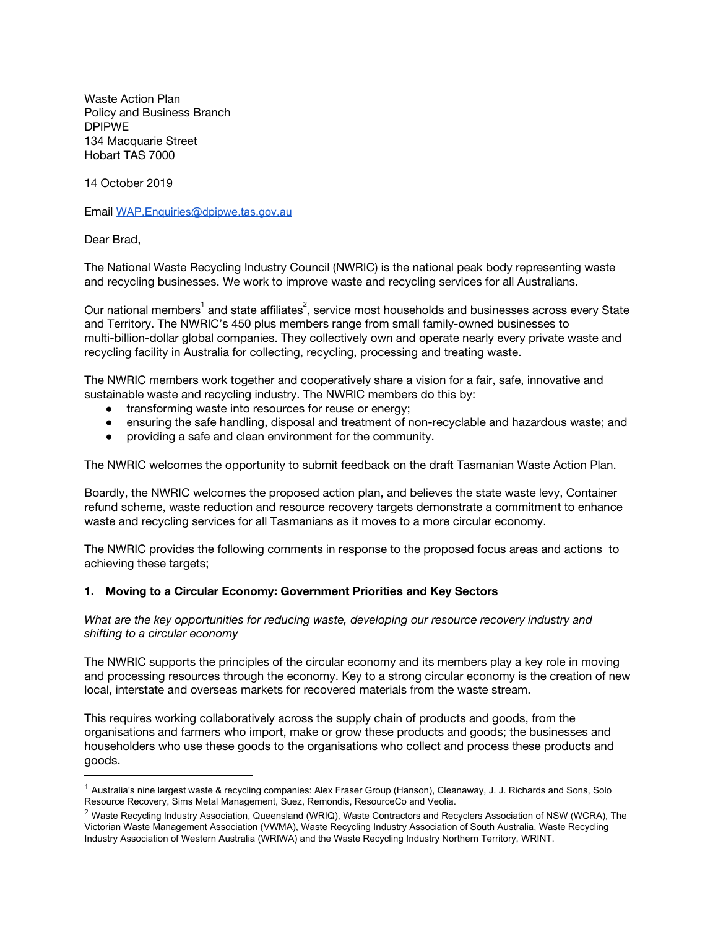Waste Action Plan Policy and Business Branch DPIPWE 134 Macquarie Street Hobart TAS 7000

14 October 2019

Email [WAP.Enquiries@dpipwe.tas.gov.au](mailto:WAP.Enquiries@dpipwe.tas.gov.au)

Dear Brad,

The National Waste Recycling Industry Council (NWRIC) is the national peak body representing waste and recycling businesses. We work to improve waste and recycling services for all Australians.

Our national members $^{\rm 1}$  and state affiliates $^{\rm 2}$ , service most households and businesses across every State and Territory. The NWRIC's 450 plus members range from small family-owned businesses to multi-billion-dollar global companies. They collectively own and operate nearly every private waste and recycling facility in Australia for collecting, recycling, processing and treating waste.

The NWRIC members work together and cooperatively share a vision for a fair, safe, innovative and sustainable waste and recycling industry. The NWRIC members do this by:

- **●** transforming waste into resources for reuse or energy;
- **●** ensuring the safe handling, disposal and treatment of non-recyclable and hazardous waste; and
- **●** providing a safe and clean environment for the community.

The NWRIC welcomes the opportunity to submit feedback on the draft Tasmanian Waste Action Plan.

Boardly, the NWRIC welcomes the proposed action plan, and believes the state waste levy, Container refund scheme, waste reduction and resource recovery targets demonstrate a commitment to enhance waste and recycling services for all Tasmanians as it moves to a more circular economy.

The NWRIC provides the following comments in response to the proposed focus areas and actions to achieving these targets;

#### **1. Moving to a Circular Economy: Government Priorities and Key Sectors**

*What are the key opportunities for reducing waste, developing our resource recovery industry and shifting to a circular economy*

The NWRIC supports the principles of the circular economy and its members play a key role in moving and processing resources through the economy. Key to a strong circular economy is the creation of new local, interstate and overseas markets for recovered materials from the waste stream.

This requires working collaboratively across the supply chain of products and goods, from the organisations and farmers who import, make or grow these products and goods; the businesses and householders who use these goods to the organisations who collect and process these products and goods.

 $1$  Australia's nine largest waste & recycling companies: Alex Fraser Group (Hanson), Cleanaway, J. J. Richards and Sons, Solo Resource Recovery, Sims Metal Management, Suez, Remondis, ResourceCo and Veolia.

<sup>&</sup>lt;sup>2</sup> Waste Recycling Industry Association, Queensland (WRIQ), Waste Contractors and Recyclers Association of NSW (WCRA), The Victorian Waste Management Association (VWMA), Waste Recycling Industry Association of South Australia, Waste Recycling Industry Association of Western Australia (WRIWA) and the Waste Recycling Industry Northern Territory, WRINT.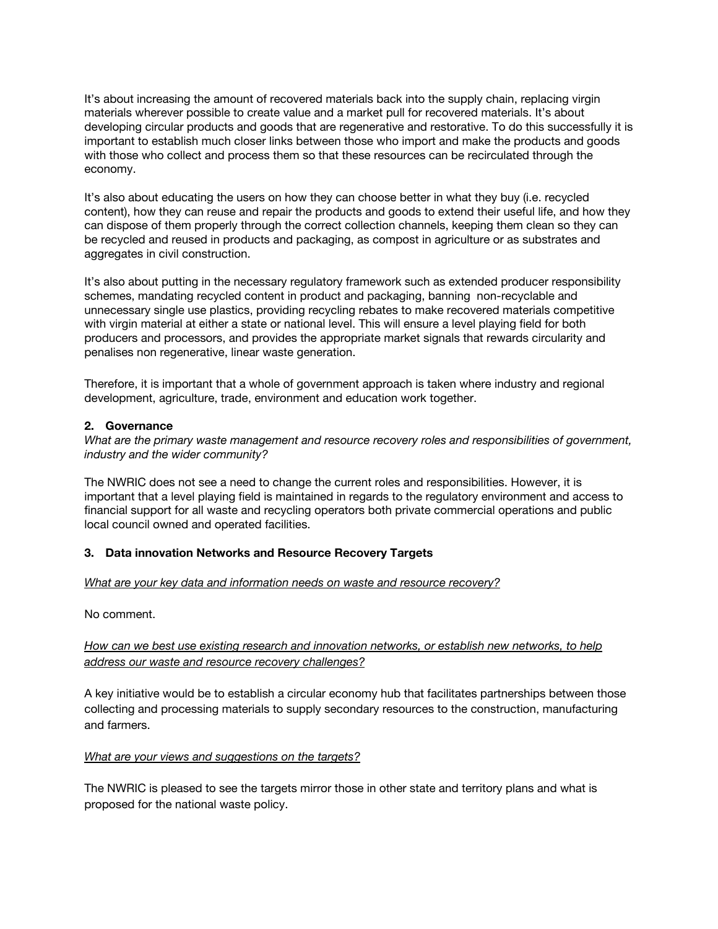It's about increasing the amount of recovered materials back into the supply chain, replacing virgin materials wherever possible to create value and a market pull for recovered materials. It's about developing circular products and goods that are regenerative and restorative. To do this successfully it is important to establish much closer links between those who import and make the products and goods with those who collect and process them so that these resources can be recirculated through the economy.

It's also about educating the users on how they can choose better in what they buy (i.e. recycled content), how they can reuse and repair the products and goods to extend their useful life, and how they can dispose of them properly through the correct collection channels, keeping them clean so they can be recycled and reused in products and packaging, as compost in agriculture or as substrates and aggregates in civil construction.

It's also about putting in the necessary regulatory framework such as extended producer responsibility schemes, mandating recycled content in product and packaging, banning non-recyclable and unnecessary single use plastics, providing recycling rebates to make recovered materials competitive with virgin material at either a state or national level. This will ensure a level playing field for both producers and processors, and provides the appropriate market signals that rewards circularity and penalises non regenerative, linear waste generation.

Therefore, it is important that a whole of government approach is taken where industry and regional development, agriculture, trade, environment and education work together.

### **2. Governance**

*What are the primary waste management and resource recovery roles and responsibilities of government, industry and the wider community?*

The NWRIC does not see a need to change the current roles and responsibilities. However, it is important that a level playing field is maintained in regards to the regulatory environment and access to financial support for all waste and recycling operators both private commercial operations and public local council owned and operated facilities.

## **3. Data innovation Networks and Resource Recovery Targets**

#### *What are your key data and information needs on waste and resource recovery?*

No comment.

## *How can we best use existing research and innovation networks, or establish new networks, to help address our waste and resource recovery challenges?*

A key initiative would be to establish a circular economy hub that facilitates partnerships between those collecting and processing materials to supply secondary resources to the construction, manufacturing and farmers.

#### *What are your views and suggestions on the targets?*

The NWRIC is pleased to see the targets mirror those in other state and territory plans and what is proposed for the national waste policy.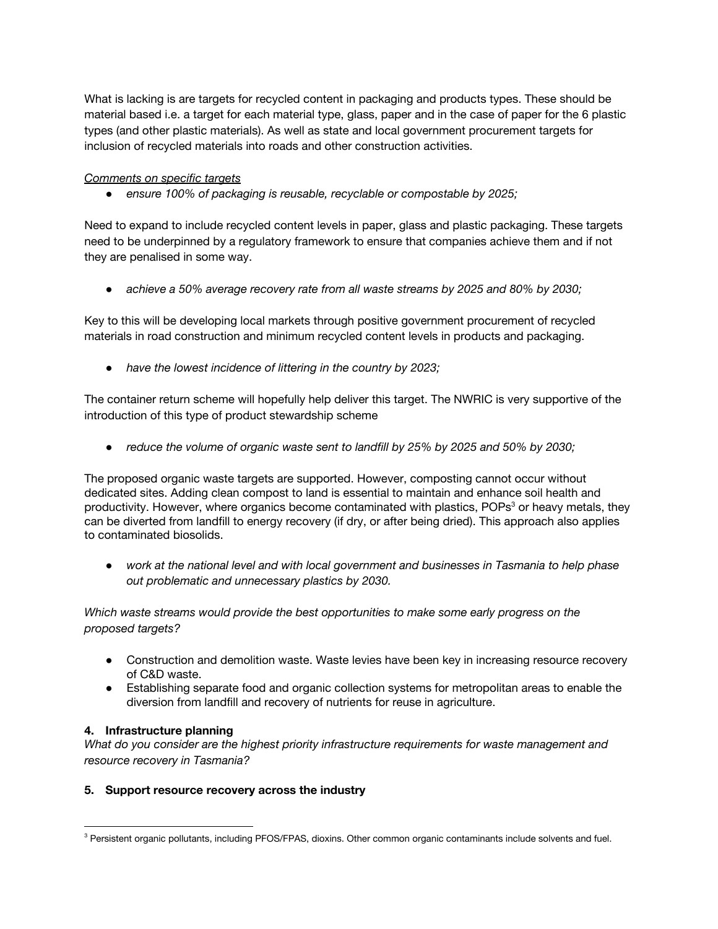What is lacking is are targets for recycled content in packaging and products types. These should be material based i.e. a target for each material type, glass, paper and in the case of paper for the 6 plastic types (and other plastic materials). As well as state and local government procurement targets for inclusion of recycled materials into roads and other construction activities.

### *Comments on specific targets*

*● ensure 100% of packaging is reusable, recyclable or compostable by 2025;*

Need to expand to include recycled content levels in paper, glass and plastic packaging. These targets need to be underpinned by a regulatory framework to ensure that companies achieve them and if not they are penalised in some way.

*● achieve a 50% average recovery rate from all waste streams by 2025 and 80% by 2030;*

Key to this will be developing local markets through positive government procurement of recycled materials in road construction and minimum recycled content levels in products and packaging.

*● have the lowest incidence of littering in the country by 2023;*

The container return scheme will hopefully help deliver this target. The NWRIC is very supportive of the introduction of this type of product stewardship scheme

*● reduce the volume of organic waste sent to landfill by 25% by 2025 and 50% by 2030;*

The proposed organic waste targets are supported. However, composting cannot occur without dedicated sites. Adding clean compost to land is essential to maintain and enhance soil health and productivity. However, where organics become contaminated with plastics, POPs<sup>3</sup> or heavy metals, they can be diverted from landfill to energy recovery (if dry, or after being dried). This approach also applies to contaminated biosolids.

*● work at the national level and with local government and businesses in Tasmania to help phase out problematic and unnecessary plastics by 2030.*

*Which waste streams would provide the best opportunities to make some early progress on the proposed targets?*

- Construction and demolition waste. Waste levies have been key in increasing resource recovery of C&D waste.
- Establishing separate food and organic collection systems for metropolitan areas to enable the diversion from landfill and recovery of nutrients for reuse in agriculture.

#### **4. Infrastructure planning**

*What do you consider are the highest priority infrastructure requirements for waste management and resource recovery in Tasmania?*

#### **5. Support resource recovery across the industry**

<sup>&</sup>lt;sup>3</sup> Persistent organic pollutants, including PFOS/FPAS, dioxins. Other common organic contaminants include solvents and fuel.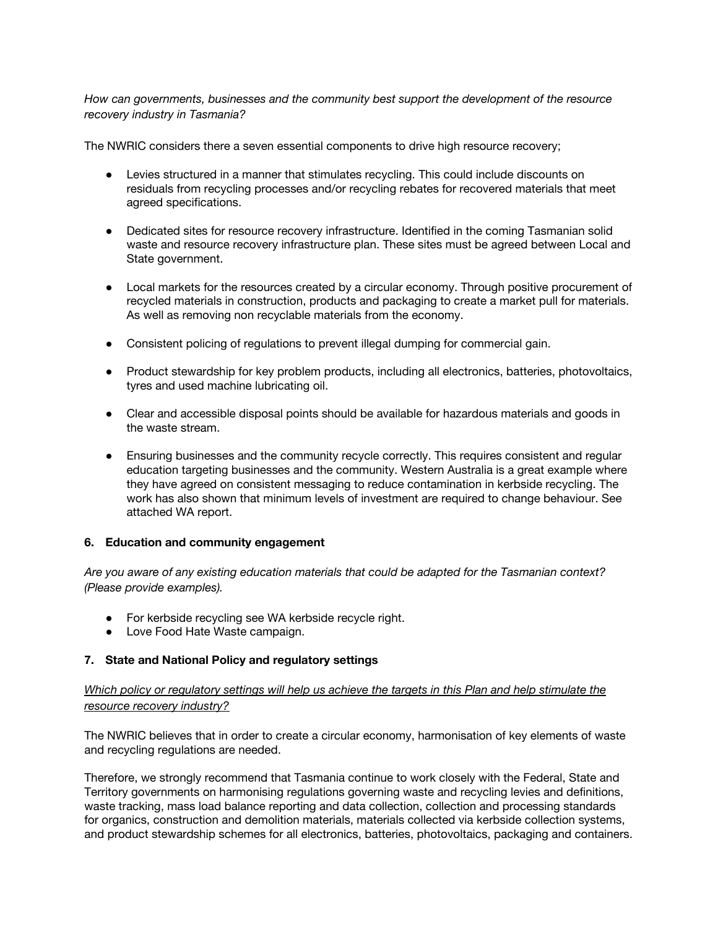*How can governments, businesses and the community best support the development of the resource recovery industry in Tasmania?*

The NWRIC considers there a seven essential components to drive high resource recovery;

- Levies structured in a manner that stimulates recycling. This could include discounts on residuals from recycling processes and/or recycling rebates for recovered materials that meet agreed specifications.
- Dedicated sites for resource recovery infrastructure. Identified in the coming Tasmanian solid waste and resource recovery infrastructure plan. These sites must be agreed between Local and State government.
- Local markets for the resources created by a circular economy. Through positive procurement of recycled materials in construction, products and packaging to create a market pull for materials. As well as removing non recyclable materials from the economy.
- Consistent policing of regulations to prevent illegal dumping for commercial gain.
- Product stewardship for key problem products, including all electronics, batteries, photovoltaics, tyres and used machine lubricating oil.
- Clear and accessible disposal points should be available for hazardous materials and goods in the waste stream.
- Ensuring businesses and the community recycle correctly. This requires consistent and regular education targeting businesses and the community. Western Australia is a great example where they have agreed on consistent messaging to reduce contamination in kerbside recycling. The work has also shown that minimum levels of investment are required to change behaviour. See attached WA report.

#### **6. Education and community engagement**

*Are you aware of any existing education materials that could be adapted for the Tasmanian context? (Please provide examples).*

- For kerbside recycling see WA kerbside recycle right.
- Love Food Hate Waste campaign.

#### **7. State and National Policy and regulatory settings**

# Which policy or regulatory settings will help us achieve the targets in this Plan and help stimulate the *resource recovery industry?*

The NWRIC believes that in order to create a circular economy, harmonisation of key elements of waste and recycling regulations are needed.

Therefore, we strongly recommend that Tasmania continue to work closely with the Federal, State and Territory governments on harmonising regulations governing waste and recycling levies and definitions, waste tracking, mass load balance reporting and data collection, collection and processing standards for organics, construction and demolition materials, materials collected via kerbside collection systems, and product stewardship schemes for all electronics, batteries, photovoltaics, packaging and containers.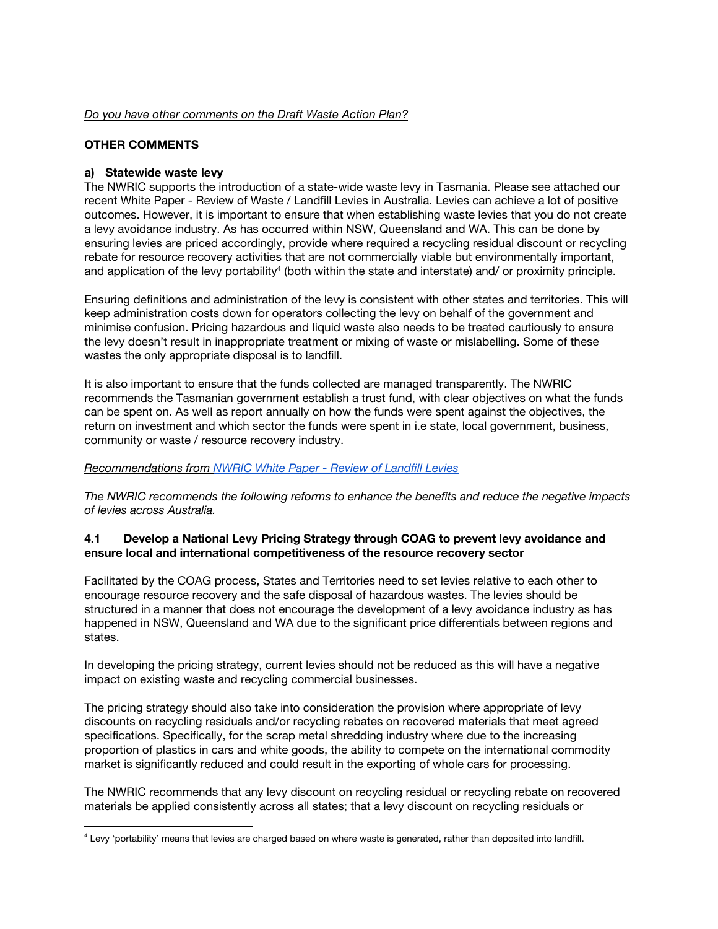#### *Do you have other comments on the Draft Waste Action Plan?*

## **OTHER COMMENTS**

### **a) Statewide waste levy**

The NWRIC supports the introduction of a state-wide waste levy in Tasmania. Please see attached our recent White Paper - Review of Waste / Landfill Levies in Australia. Levies can achieve a lot of positive outcomes. However, it is important to ensure that when establishing waste levies that you do not create a levy avoidance industry. As has occurred within NSW, Queensland and WA. This can be done by ensuring levies are priced accordingly, provide where required a recycling residual discount or recycling rebate for resource recovery activities that are not commercially viable but environmentally important, and application of the levy portability<sup>4</sup> (both within the state and interstate) and/ or proximity principle.

Ensuring definitions and administration of the levy is consistent with other states and territories. This will keep administration costs down for operators collecting the levy on behalf of the government and minimise confusion. Pricing hazardous and liquid waste also needs to be treated cautiously to ensure the levy doesn't result in inappropriate treatment or mixing of waste or mislabelling. Some of these wastes the only appropriate disposal is to landfill.

It is also important to ensure that the funds collected are managed transparently. The NWRIC recommends the Tasmanian government establish a trust fund, with clear objectives on what the funds can be spent on. As well as report annually on how the funds were spent against the objectives, the return on investment and which sector the funds were spent in i.e state, local government, business, community or waste / resource recovery industry.

#### *Recommendations from [NWRIC](https://www.nwric.com.au/wp-content/uploads/2019/10/NWRIC-White-Paper-Review-of-Waste-levies-9Oct19.pdf) White Paper - Review of Landfill Levies*

*The NWRIC recommends the following reforms to enhance the benefits and reduce the negative impacts of levies across Australia.*

### **4.1 Develop a National Levy Pricing Strategy through COAG to prevent levy avoidance and ensure local and international competitiveness of the resource recovery sector**

Facilitated by the COAG process, States and Territories need to set levies relative to each other to encourage resource recovery and the safe disposal of hazardous wastes. The levies should be structured in a manner that does not encourage the development of a levy avoidance industry as has happened in NSW, Queensland and WA due to the significant price differentials between regions and states.

In developing the pricing strategy, current levies should not be reduced as this will have a negative impact on existing waste and recycling commercial businesses.

The pricing strategy should also take into consideration the provision where appropriate of levy discounts on recycling residuals and/or recycling rebates on recovered materials that meet agreed specifications. Specifically, for the scrap metal shredding industry where due to the increasing proportion of plastics in cars and white goods, the ability to compete on the international commodity market is significantly reduced and could result in the exporting of whole cars for processing.

The NWRIC recommends that any levy discount on recycling residual or recycling rebate on recovered materials be applied consistently across all states; that a levy discount on recycling residuals or

 $4$  Levy 'portability' means that levies are charged based on where waste is generated, rather than deposited into landfill.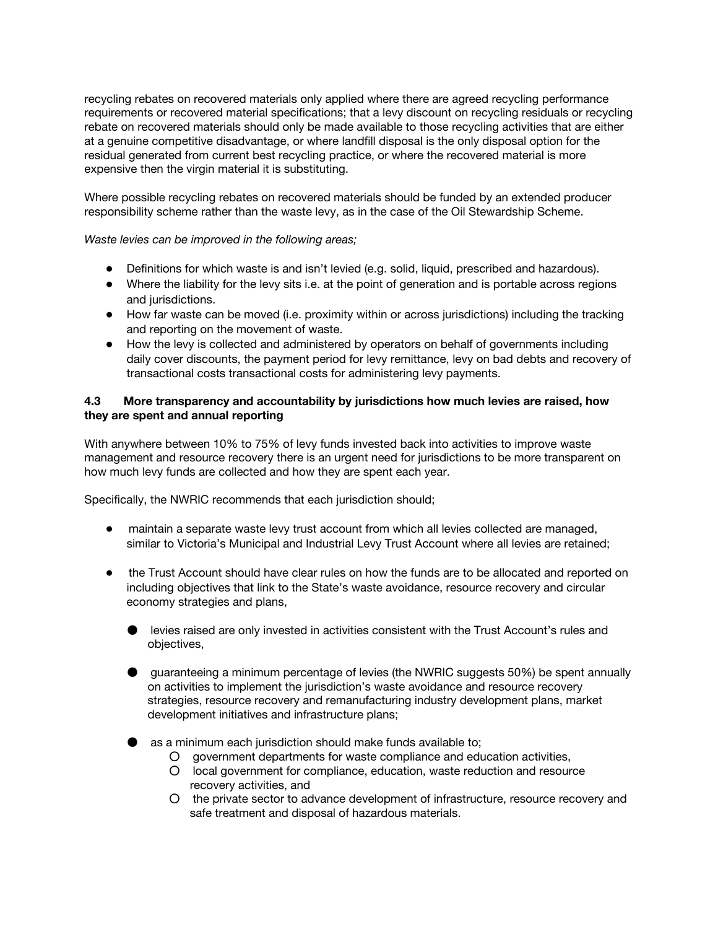recycling rebates on recovered materials only applied where there are agreed recycling performance requirements or recovered material specifications; that a levy discount on recycling residuals or recycling rebate on recovered materials should only be made available to those recycling activities that are either at a genuine competitive disadvantage, or where landfill disposal is the only disposal option for the residual generated from current best recycling practice, or where the recovered material is more expensive then the virgin material it is substituting.

Where possible recycling rebates on recovered materials should be funded by an extended producer responsibility scheme rather than the waste levy, as in the case of the Oil Stewardship Scheme.

*Waste levies can be improved in the following areas;*

- Definitions for which waste is and isn't levied (e.g. solid, liquid, prescribed and hazardous).
- Where the liability for the levy sits i.e. at the point of generation and is portable across regions and jurisdictions.
- How far waste can be moved (i.e. proximity within or across jurisdictions) including the tracking and reporting on the movement of waste.
- How the levy is collected and administered by operators on behalf of governments including daily cover discounts, the payment period for levy remittance, levy on bad debts and recovery of transactional costs transactional costs for administering levy payments.

## **4.3 More transparency and accountability by jurisdictions how much levies are raised, how they are spent and annual reporting**

With anywhere between 10% to 75% of levy funds invested back into activities to improve waste management and resource recovery there is an urgent need for jurisdictions to be more transparent on how much levy funds are collected and how they are spent each year.

Specifically, the NWRIC recommends that each jurisdiction should;

- maintain a separate waste levy trust account from which all levies collected are managed, similar to Victoria's Municipal and Industrial Levy Trust Account where all levies are retained;
- the Trust Account should have clear rules on how the funds are to be allocated and reported on including objectives that link to the State's waste avoidance, resource recovery and circular economy strategies and plans,
	- levies raised are only invested in activities consistent with the Trust Account's rules and objectives,
	- guaranteeing a minimum percentage of levies (the NWRIC suggests 50%) be spent annually on activities to implement the jurisdiction's waste avoidance and resource recovery strategies, resource recovery and remanufacturing industry development plans, market development initiatives and infrastructure plans;
	- as a minimum each jurisdiction should make funds available to;
		- government departments for waste compliance and education activities,
		- local government for compliance, education, waste reduction and resource recovery activities, and
		- the private sector to advance development of infrastructure, resource recovery and safe treatment and disposal of hazardous materials.